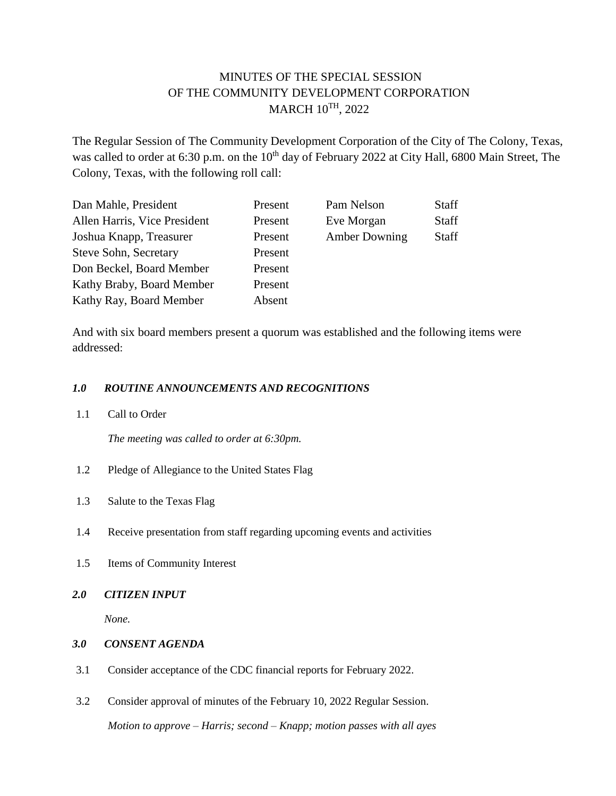# MINUTES OF THE SPECIAL SESSION OF THE COMMUNITY DEVELOPMENT CORPORATION MARCH 10TH, 2022

The Regular Session of The Community Development Corporation of the City of The Colony, Texas, was called to order at 6:30 p.m. on the 10<sup>th</sup> day of February 2022 at City Hall, 6800 Main Street, The Colony, Texas, with the following roll call:

| Dan Mahle, President         | Present | Pam Nelson           | Staff        |
|------------------------------|---------|----------------------|--------------|
| Allen Harris, Vice President | Present | Eve Morgan           | <b>Staff</b> |
| Joshua Knapp, Treasurer      | Present | <b>Amber Downing</b> | <b>Staff</b> |
| Steve Sohn, Secretary        | Present |                      |              |
| Don Beckel, Board Member     | Present |                      |              |
| Kathy Braby, Board Member    | Present |                      |              |
| Kathy Ray, Board Member      | Absent  |                      |              |

And with six board members present a quorum was established and the following items were addressed:

## *1.0 ROUTINE ANNOUNCEMENTS AND RECOGNITIONS*

1.1 Call to Order

*The meeting was called to order at 6:30pm.*

- 1.2 Pledge of Allegiance to the United States Flag
- 1.3 Salute to the Texas Flag
- 1.4 Receive presentation from staff regarding upcoming events and activities
- 1.5 Items of Community Interest
- *2.0 CITIZEN INPUT*

*None.*

- *3.0 CONSENT AGENDA*
- 3.1 Consider acceptance of the CDC financial reports for February 2022.
- 3.2 Consider approval of minutes of the February 10, 2022 Regular Session. *Motion to approve – Harris; second – Knapp; motion passes with all ayes*